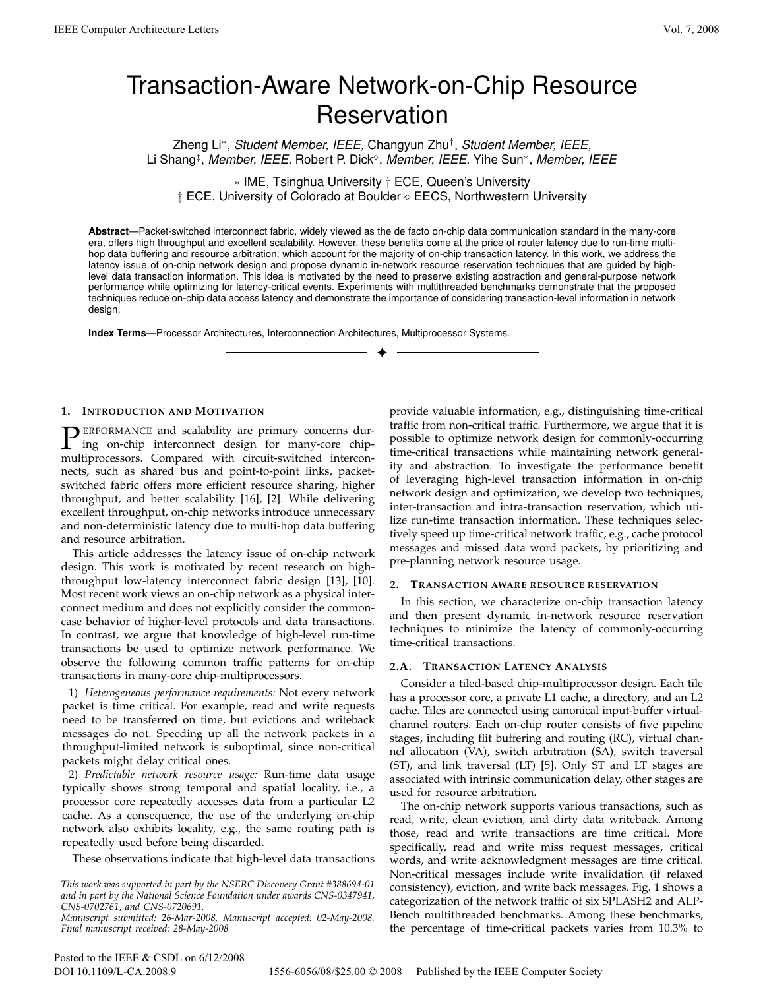# Transaction-Aware Network-on-Chip Resource **Reservation**

Zheng Li<sup>∗</sup> , *Student Member, IEEE,* Changyun Zhu† , *Student Member, IEEE,* Li Shang<sup>‡</sup>, Member, IEEE, Robert P. Dick<sup>◇</sup>, Member, IEEE, Yihe Sun<sup>∗</sup>, Member, IEEE

∗ IME, Tsinghua University † ECE, Queen's University ‡ ECE, University of Colorado at Boulder ◇ EECS, Northwestern University

**Abstract**—Packet-switched interconnect fabric, widely viewed as the de facto on-chip data communication standard in the many-core era, offers high throughput and excellent scalability. However, these benefits come at the price of router latency due to run-time multihop data buffering and resource arbitration, which account for the majority of on-chip transaction latency. In this work, we address the latency issue of on-chip network design and propose dynamic in-network resource reservation techniques that are guided by highlevel data transaction information. This idea is motivated by the need to preserve existing abstraction and general-purpose network performance while optimizing for latency-critical events. Experiments with multithreaded benchmarks demonstrate that the proposed techniques reduce on-chip data access latency and demonstrate the importance of considering transaction-level information in network design.

✦

**Index Terms**—Processor Architectures, Interconnection Architectures, Multiprocessor Systems.

## **1. INTRODUCTION AND MOTIVATION**

**PERFORMANCE** and scalability are primary concerns during on-chip interconnect design for many-core chip-<br>multiprocessors. Compared with circuit switched intercon ing on-chip interconnect design for many-core chipmultiprocessors. Compared with circuit-switched interconnects, such as shared bus and point-to-point links, packetswitched fabric offers more efficient resource sharing, higher throughput, and better scalability [16], [2]. While delivering excellent throughput, on-chip networks introduce unnecessary and non-deterministic latency due to multi-hop data buffering and resource arbitration.

This article addresses the latency issue of on-chip network design. This work is motivated by recent research on highthroughput low-latency interconnect fabric design [13], [10]. Most recent work views an on-chip network as a physical interconnect medium and does not explicitly consider the commoncase behavior of higher-level protocols and data transactions. In contrast, we argue that knowledge of high-level run-time transactions be used to optimize network performance. We observe the following common traffic patterns for on-chip transactions in many-core chip-multiprocessors.

1) *Heterogeneous performance requirements:* Not every network packet is time critical. For example, read and write requests need to be transferred on time, but evictions and writeback messages do not. Speeding up all the network packets in a throughput-limited network is suboptimal, since non-critical packets might delay critical ones.

2) *Predictable network resource usage:* Run-time data usage typically shows strong temporal and spatial locality, i.e., a processor core repeatedly accesses data from a particular L2 cache. As a consequence, the use of the underlying on-chip network also exhibits locality, e.g., the same routing path is repeatedly used before being discarded.

These observations indicate that high-level data transactions

provide valuable information, e.g., distinguishing time-critical traffic from non-critical traffic. Furthermore, we argue that it is possible to optimize network design for commonly-occurring time-critical transactions while maintaining network generality and abstraction. To investigate the performance benefit of leveraging high-level transaction information in on-chip network design and optimization, we develop two techniques, inter-transaction and intra-transaction reservation, which utilize run-time transaction information. These techniques selectively speed up time-critical network traffic, e.g., cache protocol messages and missed data word packets, by prioritizing and pre-planning network resource usage.

#### **2. TRANSACTION AWARE RESOURCE RESERVATION**

In this section, we characterize on-chip transaction latency and then present dynamic in-network resource reservation techniques to minimize the latency of commonly-occurring time-critical transactions.

### **2.A. TRANSACTION LATENCY ANALYSIS**

Consider a tiled-based chip-multiprocessor design. Each tile has a processor core, a private L1 cache, a directory, and an L2 cache. Tiles are connected using canonical input-buffer virtualchannel routers. Each on-chip router consists of five pipeline stages, including flit buffering and routing (RC), virtual channel allocation (VA), switch arbitration (SA), switch traversal (ST), and link traversal (LT) [5]. Only ST and LT stages are associated with intrinsic communication delay, other stages are used for resource arbitration.

The on-chip network supports various transactions, such as read, write, clean eviction, and dirty data writeback. Among those, read and write transactions are time critical. More specifically, read and write miss request messages, critical words, and write acknowledgment messages are time critical. Non-critical messages include write invalidation (if relaxed consistency), eviction, and write back messages. Fig. 1 shows a categorization of the network traffic of six SPLASH2 and ALP-Bench multithreaded benchmarks. Among these benchmarks, the percentage of time-critical packets varies from 10.3% to

*This work was supported in part by the NSERC Discovery Grant #388694-01 and in part by the National Science Foundation under awards CNS-0347941, CNS-0702761, and CNS-0720691.*

*Manuscript submitted: 26-Mar-2008. Manuscript accepted: 02-May-2008. Final manuscript received: 28-May-2008*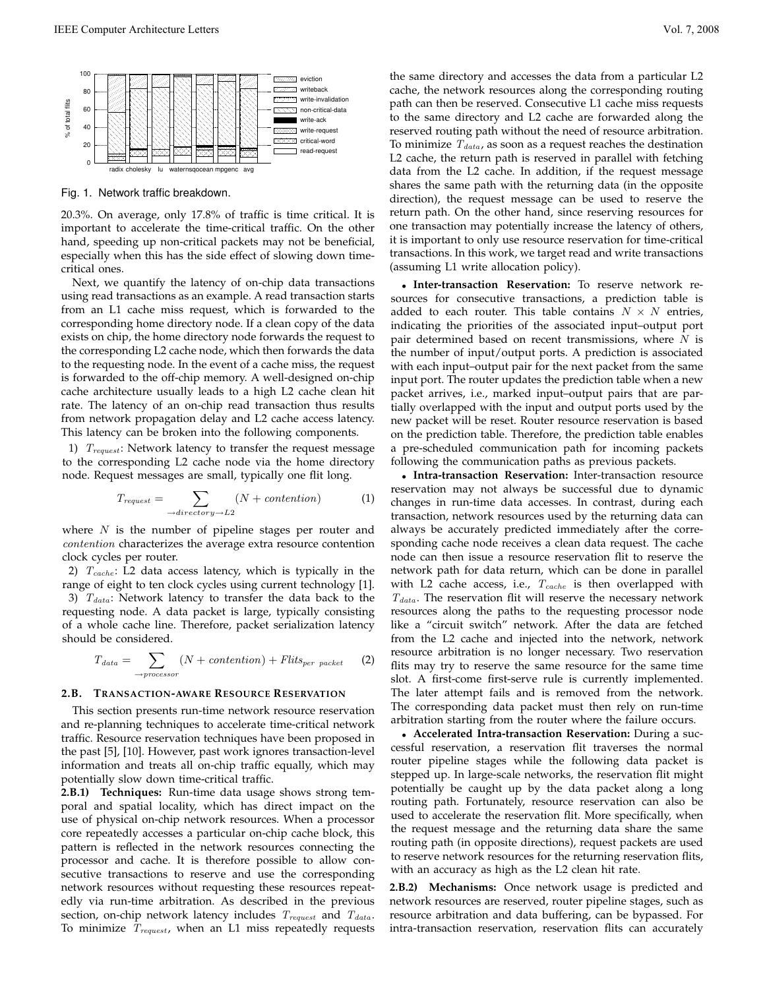

Fig. 1. Network traffic breakdown.

20.3%. On average, only 17.8% of traffic is time critical. It is important to accelerate the time-critical traffic. On the other hand, speeding up non-critical packets may not be beneficial, especially when this has the side effect of slowing down timecritical ones.

Next, we quantify the latency of on-chip data transactions using read transactions as an example. A read transaction starts from an L1 cache miss request, which is forwarded to the corresponding home directory node. If a clean copy of the data exists on chip, the home directory node forwards the request to the corresponding L2 cache node, which then forwards the data to the requesting node. In the event of a cache miss, the request is forwarded to the off-chip memory. A well-designed on-chip cache architecture usually leads to a high L2 cache clean hit rate. The latency of an on-chip read transaction thus results from network propagation delay and L2 cache access latency. This latency can be broken into the following components.

1)  $T_{request}$ : Network latency to transfer the request message to the corresponding L2 cache node via the home directory node. Request messages are small, typically one flit long.

$$
T_{request} = \sum_{\rightarrow directory \rightarrow L2} (N + contention)
$$
 (1)

where  $N$  is the number of pipeline stages per router and contention characterizes the average extra resource contention clock cycles per router.

2)  $T_{cache}$ : L2 data access latency, which is typically in the range of eight to ten clock cycles using current technology [1]. 3)  $T_{data}$ : Network latency to transfer the data back to the requesting node. A data packet is large, typically consisting of a whole cache line. Therefore, packet serialization latency should be considered.

$$
T_{data} = \sum_{\rightarrow processor} (N + contention) + Flits_{per packet} \tag{2}
$$

#### **2.B. TRANSACTION-AWARE RESOURCE RESERVATION**

This section presents run-time network resource reservation and re-planning techniques to accelerate time-critical network traffic. Resource reservation techniques have been proposed in the past [5], [10]. However, past work ignores transaction-level information and treats all on-chip traffic equally, which may potentially slow down time-critical traffic.

**2.B.1) Techniques:** Run-time data usage shows strong temporal and spatial locality, which has direct impact on the use of physical on-chip network resources. When a processor core repeatedly accesses a particular on-chip cache block, this pattern is reflected in the network resources connecting the processor and cache. It is therefore possible to allow consecutive transactions to reserve and use the corresponding network resources without requesting these resources repeatedly via run-time arbitration. As described in the previous section, on-chip network latency includes  $T_{request}$  and  $T_{data}$ . To minimize  $T_{request}$ , when an L1 miss repeatedly requests

the same directory and accesses the data from a particular L2 cache, the network resources along the corresponding routing path can then be reserved. Consecutive L1 cache miss requests to the same directory and L2 cache are forwarded along the reserved routing path without the need of resource arbitration. To minimize  $T_{data}$ , as soon as a request reaches the destination L2 cache, the return path is reserved in parallel with fetching data from the L2 cache. In addition, if the request message shares the same path with the returning data (in the opposite direction), the request message can be used to reserve the return path. On the other hand, since reserving resources for one transaction may potentially increase the latency of others, it is important to only use resource reservation for time-critical transactions. In this work, we target read and write transactions (assuming L1 write allocation policy).

• **Inter-transaction Reservation:** To reserve network resources for consecutive transactions, a prediction table is added to each router. This table contains  $N \times N$  entries, indicating the priorities of the associated input–output port pair determined based on recent transmissions, where  $N$  is the number of input/output ports. A prediction is associated with each input–output pair for the next packet from the same input port. The router updates the prediction table when a new packet arrives, i.e., marked input–output pairs that are partially overlapped with the input and output ports used by the new packet will be reset. Router resource reservation is based on the prediction table. Therefore, the prediction table enables a pre-scheduled communication path for incoming packets following the communication paths as previous packets.

• **Intra-transaction Reservation:** Inter-transaction resource reservation may not always be successful due to dynamic changes in run-time data accesses. In contrast, during each transaction, network resources used by the returning data can always be accurately predicted immediately after the corresponding cache node receives a clean data request. The cache node can then issue a resource reservation flit to reserve the network path for data return, which can be done in parallel with L2 cache access, i.e.,  $T_{cache}$  is then overlapped with  $T_{data}$ . The reservation flit will reserve the necessary network resources along the paths to the requesting processor node like a "circuit switch" network. After the data are fetched from the L2 cache and injected into the network, network resource arbitration is no longer necessary. Two reservation flits may try to reserve the same resource for the same time slot. A first-come first-serve rule is currently implemented. The later attempt fails and is removed from the network. The corresponding data packet must then rely on run-time arbitration starting from the router where the failure occurs.

• **Accelerated Intra-transaction Reservation:** During a successful reservation, a reservation flit traverses the normal router pipeline stages while the following data packet is stepped up. In large-scale networks, the reservation flit might potentially be caught up by the data packet along a long routing path. Fortunately, resource reservation can also be used to accelerate the reservation flit. More specifically, when the request message and the returning data share the same routing path (in opposite directions), request packets are used to reserve network resources for the returning reservation flits, with an accuracy as high as the L2 clean hit rate.

**2.B.2) Mechanisms:** Once network usage is predicted and network resources are reserved, router pipeline stages, such as resource arbitration and data buffering, can be bypassed. For intra-transaction reservation, reservation flits can accurately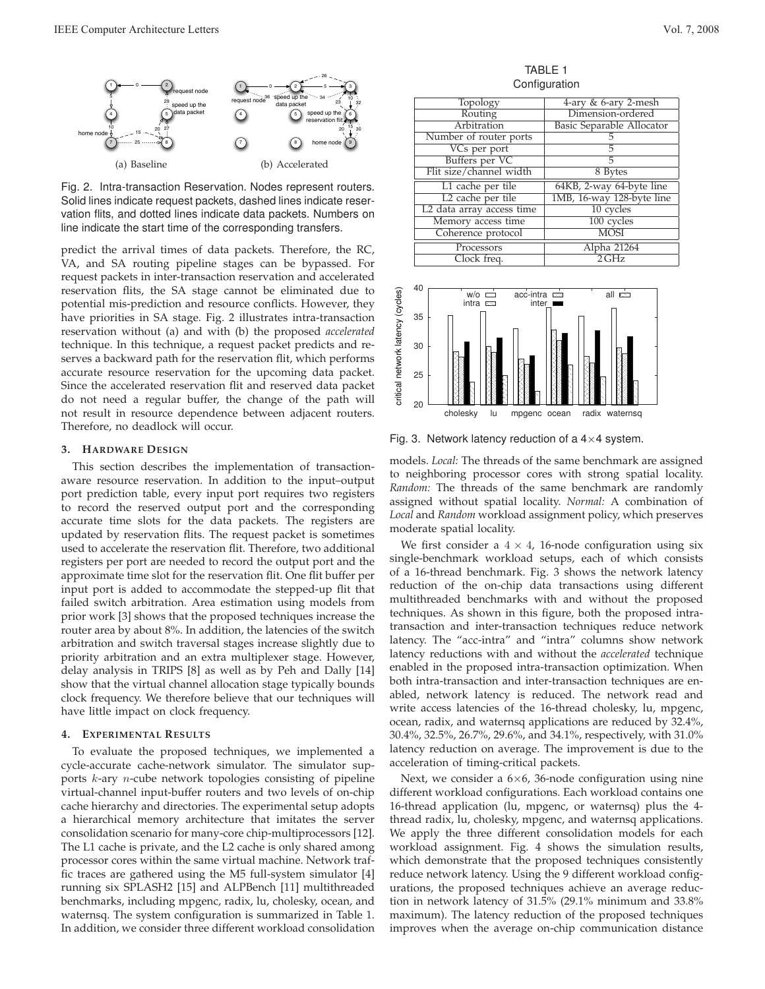

Fig. 2. Intra-transaction Reservation. Nodes represent routers. Solid lines indicate request packets, dashed lines indicate reservation flits, and dotted lines indicate data packets. Numbers on line indicate the start time of the corresponding transfers.

predict the arrival times of data packets. Therefore, the RC, VA, and SA routing pipeline stages can be bypassed. For request packets in inter-transaction reservation and accelerated reservation flits, the SA stage cannot be eliminated due to potential mis-prediction and resource conflicts. However, they have priorities in SA stage. Fig. 2 illustrates intra-transaction reservation without (a) and with (b) the proposed *accelerated* technique. In this technique, a request packet predicts and reserves a backward path for the reservation flit, which performs accurate resource reservation for the upcoming data packet. Since the accelerated reservation flit and reserved data packet do not need a regular buffer, the change of the path will not result in resource dependence between adjacent routers. Therefore, no deadlock will occur.

#### **3. HARDWARE DESIGN**

This section describes the implementation of transactionaware resource reservation. In addition to the input–output port prediction table, every input port requires two registers to record the reserved output port and the corresponding accurate time slots for the data packets. The registers are updated by reservation flits. The request packet is sometimes used to accelerate the reservation flit. Therefore, two additional registers per port are needed to record the output port and the approximate time slot for the reservation flit. One flit buffer per input port is added to accommodate the stepped-up flit that failed switch arbitration. Area estimation using models from prior work [3] shows that the proposed techniques increase the router area by about 8%. In addition, the latencies of the switch arbitration and switch traversal stages increase slightly due to priority arbitration and an extra multiplexer stage. However, delay analysis in TRIPS [8] as well as by Peh and Dally [14] show that the virtual channel allocation stage typically bounds clock frequency. We therefore believe that our techniques will have little impact on clock frequency.

#### **4. EXPERIMENTAL RESULTS**

To evaluate the proposed techniques, we implemented a cycle-accurate cache-network simulator. The simulator supports k-ary n-cube network topologies consisting of pipeline virtual-channel input-buffer routers and two levels of on-chip cache hierarchy and directories. The experimental setup adopts a hierarchical memory architecture that imitates the server consolidation scenario for many-core chip-multiprocessors [12]. The L1 cache is private, and the L2 cache is only shared among processor cores within the same virtual machine. Network traffic traces are gathered using the M5 full-system simulator [4] running six SPLASH2 [15] and ALPBench [11] multithreaded benchmarks, including mpgenc, radix, lu, cholesky, ocean, and waternsq. The system configuration is summarized in Table 1. In addition, we consider three different workload consolidation

TABLE 1 Configuration

| Topology                  | 4-ary & 6-ary 2-mesh      |
|---------------------------|---------------------------|
| Routing                   | Dimension-ordered         |
| Arbitration               | Basic Separable Allocator |
| Number of router ports    |                           |
| VCs per port              | 5                         |
| Buffers per VC            | 5                         |
| Flit size/channel width   | 8 Bytes                   |
| L1 cache per tile         | 64KB, 2-way 64-byte line  |
| L2 cache per tile         | 1MB, 16-way 128-byte line |
| L2 data array access time | 10 cycles                 |
| Memory access time        | 100 cycles                |
| Coherence protocol        | <b>MOSI</b>               |
| Processors                | Alpha 21264               |
| Clock freq.               | $2$ GHz                   |



Fig. 3. Network latency reduction of a  $4\times 4$  system.

models. *Local:* The threads of the same benchmark are assigned to neighboring processor cores with strong spatial locality. *Random:* The threads of the same benchmark are randomly assigned without spatial locality. *Normal:* A combination of *Local* and *Random* workload assignment policy, which preserves moderate spatial locality.

We first consider a  $4 \times 4$ , 16-node configuration using six single-benchmark workload setups, each of which consists of a 16-thread benchmark. Fig. 3 shows the network latency reduction of the on-chip data transactions using different multithreaded benchmarks with and without the proposed techniques. As shown in this figure, both the proposed intratransaction and inter-transaction techniques reduce network latency. The "acc-intra" and "intra" columns show network latency reductions with and without the *accelerated* technique enabled in the proposed intra-transaction optimization. When both intra-transaction and inter-transaction techniques are enabled, network latency is reduced. The network read and write access latencies of the 16-thread cholesky, lu, mpgenc, ocean, radix, and waternsq applications are reduced by 32.4%, 30.4%, 32.5%, 26.7%, 29.6%, and 34.1%, respectively, with 31.0% latency reduction on average. The improvement is due to the acceleration of timing-critical packets.

Next, we consider a  $6\times6$ , 36-node configuration using nine different workload configurations. Each workload contains one 16-thread application (lu, mpgenc, or waternsq) plus the 4 thread radix, lu, cholesky, mpgenc, and waternsq applications. We apply the three different consolidation models for each workload assignment. Fig. 4 shows the simulation results, which demonstrate that the proposed techniques consistently reduce network latency. Using the 9 different workload configurations, the proposed techniques achieve an average reduction in network latency of 31.5% (29.1% minimum and 33.8% maximum). The latency reduction of the proposed techniques improves when the average on-chip communication distance